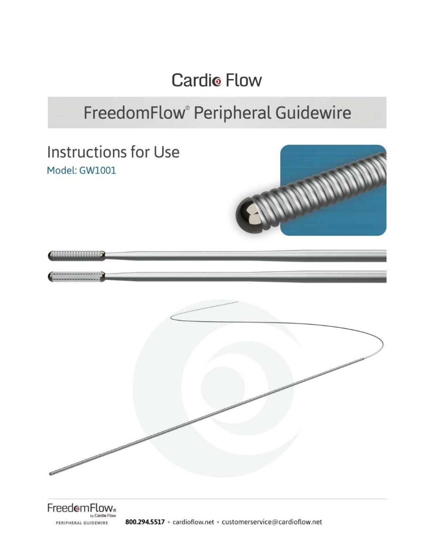**Cardio Flow** 

## FreedomFlow® Peripheral Guidewire

**Instructions for Use** Model: GW1001



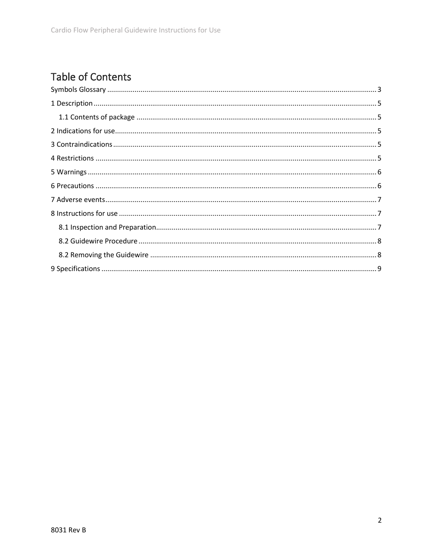## **Table of Contents**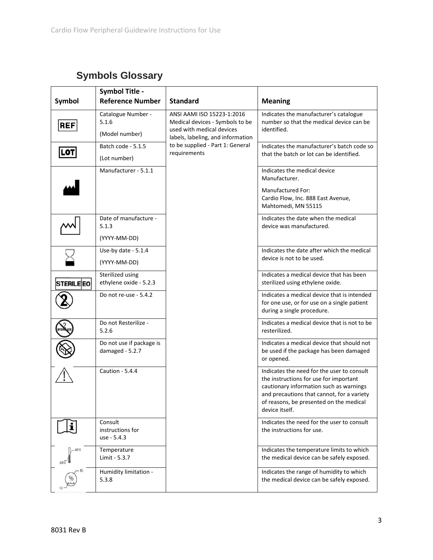## **Symbols Glossary**

<span id="page-2-0"></span>

| Symbol                         | <b>Symbol Title -</b><br><b>Reference Number</b> | <b>Standard</b>                                                                                                                                                                     | <b>Meaning</b>                                                                                                                                                                                                                             |                                        |
|--------------------------------|--------------------------------------------------|-------------------------------------------------------------------------------------------------------------------------------------------------------------------------------------|--------------------------------------------------------------------------------------------------------------------------------------------------------------------------------------------------------------------------------------------|----------------------------------------|
| <b>REF</b>                     | Catalogue Number -                               | ANSI AAMI ISO 15223-1:2016<br>Medical devices - Symbols to be<br>used with medical devices<br>labels, labeling, and information<br>to be supplied - Part 1: General<br>requirements |                                                                                                                                                                                                                                            | Indicates the manufacturer's catalogue |
|                                | 5.1.6<br>(Model number)                          |                                                                                                                                                                                     | number so that the medical device can be<br>identified.                                                                                                                                                                                    |                                        |
|                                | Batch code - 5.1.5                               |                                                                                                                                                                                     | Indicates the manufacturer's batch code so                                                                                                                                                                                                 |                                        |
| LOT                            | (Lot number)                                     |                                                                                                                                                                                     | that the batch or lot can be identified.                                                                                                                                                                                                   |                                        |
|                                | Manufacturer - 5.1.1                             |                                                                                                                                                                                     | Indicates the medical device<br>Manufacturer.                                                                                                                                                                                              |                                        |
|                                |                                                  |                                                                                                                                                                                     | <b>Manufactured For:</b><br>Cardio Flow, Inc. 888 East Avenue,<br>Mahtomedi, MN 55115                                                                                                                                                      |                                        |
|                                | Date of manufacture -<br>5.1.3                   |                                                                                                                                                                                     | Indicates the date when the medical<br>device was manufactured.                                                                                                                                                                            |                                        |
|                                | (YYYY-MM-DD)                                     |                                                                                                                                                                                     |                                                                                                                                                                                                                                            |                                        |
|                                | Use-by date - 5.1.4                              |                                                                                                                                                                                     | Indicates the date after which the medical                                                                                                                                                                                                 |                                        |
|                                | (YYYY-MM-DD)                                     |                                                                                                                                                                                     | device is not to be used.                                                                                                                                                                                                                  |                                        |
| <b>STERILEEO</b>               | Sterilized using<br>ethylene oxide - 5.2.3       |                                                                                                                                                                                     | Indicates a medical device that has been<br>sterilized using ethylene oxide.                                                                                                                                                               |                                        |
|                                | Do not re-use - 5.4.2                            |                                                                                                                                                                                     | Indicates a medical device that is intended<br>for one use, or for use on a single patient<br>during a single procedure.                                                                                                                   |                                        |
|                                | Do not Resterilize -<br>5.2.6                    |                                                                                                                                                                                     | Indicates a medical device that is not to be<br>resterilized.                                                                                                                                                                              |                                        |
|                                | Do not use if package is<br>damaged - 5.2.7      |                                                                                                                                                                                     | Indicates a medical device that should not<br>be used if the package has been damaged<br>or opened.                                                                                                                                        |                                        |
|                                | Caution - 5.4.4                                  |                                                                                                                                                                                     | Indicates the need for the user to consult<br>the instructions for use for important<br>cautionary information such as warnings<br>and precautions that cannot, for a variety<br>of reasons, be presented on the medical<br>device itself. |                                        |
|                                | Consult<br>instructions for<br>use - 5.4.3       |                                                                                                                                                                                     | Indicates the need for the user to consult<br>the instructions for use.                                                                                                                                                                    |                                        |
| $-60^\circ$ C<br>$-29^\circ$ C | Temperature<br>Limit - 5.3.7                     |                                                                                                                                                                                     | Indicates the temperature limits to which<br>the medical device can be safely exposed.                                                                                                                                                     |                                        |
|                                | Humidity limitation -<br>5.3.8                   |                                                                                                                                                                                     | Indicates the range of humidity to which<br>the medical device can be safely exposed.                                                                                                                                                      |                                        |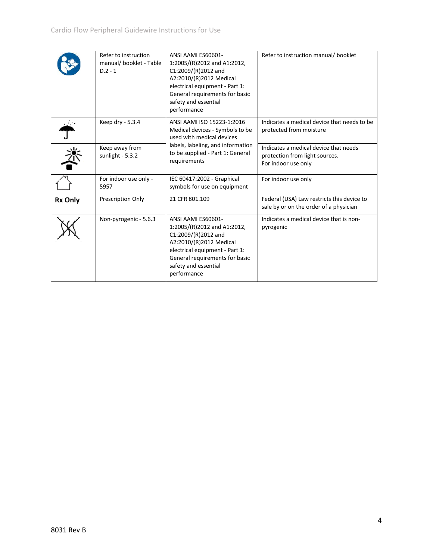|                | Refer to instruction<br>manual/ booklet - Table<br>$D.2 - 1$ | ANSI AAMI ES60601-<br>1:2005/(R)2012 and A1:2012,<br>C1:2009/(R)2012 and<br>A2:2010/(R)2012 Medical<br>electrical equipment - Part 1:<br>General requirements for basic<br>safety and essential<br>performance   | Refer to instruction manual/ booklet                                                           |
|----------------|--------------------------------------------------------------|------------------------------------------------------------------------------------------------------------------------------------------------------------------------------------------------------------------|------------------------------------------------------------------------------------------------|
|                | Keep dry - 5.3.4                                             | ANSI AAMI ISO 15223-1:2016<br>Medical devices - Symbols to be<br>used with medical devices<br>labels, labeling, and information<br>to be supplied - Part 1: General<br>requirements                              | Indicates a medical device that needs to be<br>protected from moisture                         |
|                | Keep away from<br>sunlight $-5.3.2$                          |                                                                                                                                                                                                                  | Indicates a medical device that needs<br>protection from light sources.<br>For indoor use only |
|                | For indoor use only -<br>5957                                | IEC 60417:2002 - Graphical<br>symbols for use on equipment                                                                                                                                                       | For indoor use only                                                                            |
| <b>Rx Only</b> | Prescription Only                                            | 21 CFR 801.109                                                                                                                                                                                                   | Federal (USA) Law restricts this device to<br>sale by or on the order of a physician           |
|                | Non-pyrogenic - 5.6.3                                        | ANSI AAMI ES60601-<br>1:2005/(R)2012 and A1:2012,<br>$C1:2009/(R)2012$ and<br>A2:2010/(R)2012 Medical<br>electrical equipment - Part 1:<br>General requirements for basic<br>safety and essential<br>performance | Indicates a medical device that is non-<br>pyrogenic                                           |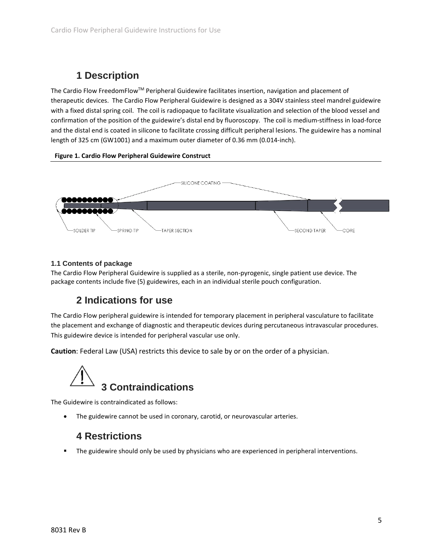## **1 Description**

<span id="page-4-0"></span>The Cardio Flow FreedomFlowTM Peripheral Guidewire facilitates insertion, navigation and placement of therapeutic devices. The Cardio Flow Peripheral Guidewire is designed as a 304V stainless steel mandrel guidewire with a fixed distal spring coil. The coil is radiopaque to facilitate visualization and selection of the blood vessel and confirmation of the position of the guidewire's distal end by fluoroscopy. The coil is medium-stiffness in load-force and the distal end is coated in silicone to facilitate crossing difficult peripheral lesions. The guidewire has a nominal length of 325 cm (GW1001) and a maximum outer diameter of 0.36 mm (0.014-inch).

#### **Figure 1. Cardio Flow Peripheral Guidewire Construct**



#### <span id="page-4-1"></span>**1.1 Contents of package**

The Cardio Flow Peripheral Guidewire is supplied as a sterile, non-pyrogenic, single patient use device. The package contents include five (5) guidewires, each in an individual sterile pouch configuration.

#### **2 Indications for use**

<span id="page-4-2"></span>The Cardio Flow peripheral guidewire is intended for temporary placement in peripheral vasculature to facilitate the placement and exchange of diagnostic and therapeutic devices during percutaneous intravascular procedures. This guidewire device is intended for peripheral vascular use only.

**Caution**: Federal Law (USA) restricts this device to sale by or on the order of a physician.

# <span id="page-4-3"></span>**3 Contraindications**

The Guidewire is contraindicated as follows:

<span id="page-4-4"></span>The guidewire cannot be used in coronary, carotid, or neurovascular arteries.

#### **4 Restrictions**

The guidewire should only be used by physicians who are experienced in peripheral interventions.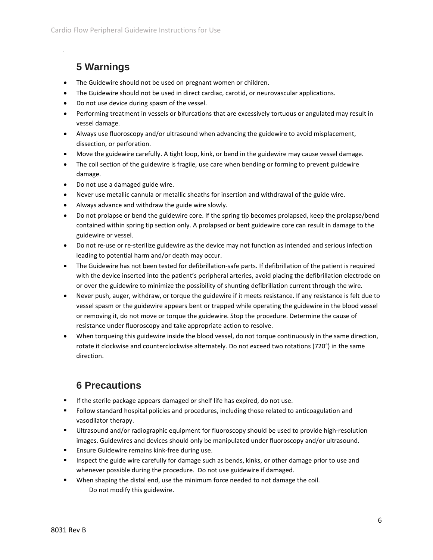## **5 Warnings**

<span id="page-5-0"></span>1

- The Guidewire should not be used on pregnant women or children.
- The Guidewire should not be used in direct cardiac, carotid, or neurovascular applications.
- Do not use device during spasm of the vessel.
- Performing treatment in vessels or bifurcations that are excessively tortuous or angulated may result in vessel damage.
- Always use fluoroscopy and/or ultrasound when advancing the guidewire to avoid misplacement, dissection, or perforation.
- Move the guidewire carefully. A tight loop, kink, or bend in the guidewire may cause vessel damage.
- The coil section of the guidewire is fragile, use care when bending or forming to prevent guidewire damage.
- Do not use a damaged guide wire.
- Never use metallic cannula or metallic sheaths for insertion and withdrawal of the guide wire.
- Always advance and withdraw the guide wire slowly.
- Do not prolapse or bend the guidewire core. If the spring tip becomes prolapsed, keep the prolapse/bend contained within spring tip section only. A prolapsed or bent guidewire core can result in damage to the guidewire or vessel.
- Do not re-use or re-sterilize guidewire as the device may not function as intended and serious infection leading to potential harm and/or death may occur.
- The Guidewire has not been tested for defibrillation-safe parts. If defibrillation of the patient is required with the device inserted into the patient's peripheral arteries, avoid placing the defibrillation electrode on or over the guidewire to minimize the possibility of shunting defibrillation current through the wire.
- Never push, auger, withdraw, or torque the guidewire if it meets resistance. If any resistance is felt due to vessel spasm or the guidewire appears bent or trapped while operating the guidewire in the blood vessel or removing it, do not move or torque the guidewire. Stop the procedure. Determine the cause of resistance under fluoroscopy and take appropriate action to resolve.
- When torqueing this guidewire inside the blood vessel, do not torque continuously in the same direction, rotate it clockwise and counterclockwise alternately. Do not exceed two rotations (720°) in the same direction.

#### **6 Precautions**

- <span id="page-5-1"></span>**If the sterile package appears damaged or shelf life has expired, do not use.**
- Follow standard hospital policies and procedures, including those related to anticoagulation and vasodilator therapy.
- Ultrasound and/or radiographic equipment for fluoroscopy should be used to provide high-resolution images. Guidewires and devices should only be manipulated under fluoroscopy and/or ultrasound.
- **Ensure Guidewire remains kink-free during use.**
- **Inspect the guide wire carefully for damage such as bends, kinks, or other damage prior to use and** whenever possible during the procedure. Do not use guidewire if damaged.
- **When shaping the distal end, use the minimum force needed to not damage the coil.** Do not modify this guidewire.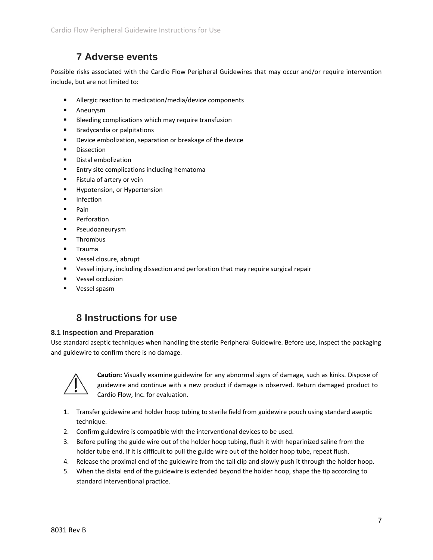#### **7 Adverse events**

<span id="page-6-0"></span>Possible risks associated with the Cardio Flow Peripheral Guidewires that may occur and/or require intervention include, but are not limited to:

- **Allergic reaction to medication/media/device components**
- **Aneurysm**
- **Bleeding complications which may require transfusion**
- **Bradycardia or palpitations**
- **Device embolization, separation or breakage of the device**
- **Dissection**
- **•** Distal embolization
- **Entry site complications including hematoma**
- **Fistula of artery or vein**
- **Hypotension, or Hypertension**
- **Infection**
- $\blacksquare$  Pain
- **Perforation**
- **Pseudoaneurysm**
- **F** Thrombus
- **Trauma**
- **Vessel closure, abrupt**
- Vessel injury, including dissection and perforation that may require surgical repair
- **vessel occlusion**
- <span id="page-6-1"></span>**vessel spasm**

#### **8 Instructions for use**

#### <span id="page-6-2"></span>**8.1 Inspection and Preparation**

Use standard aseptic techniques when handling the sterile Peripheral Guidewire. Before use, inspect the packaging and guidewire to confirm there is no damage.



**Caution:** Visually examine guidewire for any abnormal signs of damage, such as kinks. Dispose of guidewire and continue with a new product if damage is observed. Return damaged product to Cardio Flow, Inc. for evaluation.

- 1. Transfer guidewire and holder hoop tubing to sterile field from guidewire pouch using standard aseptic technique.
- 2. Confirm guidewire is compatible with the interventional devices to be used.
- 3. Before pulling the guide wire out of the holder hoop tubing, flush it with heparinized saline from the holder tube end. If it is difficult to pull the guide wire out of the holder hoop tube, repeat flush.
- 4. Release the proximal end of the guidewire from the tail clip and slowly push it through the holder hoop.
- 5. When the distal end of the guidewire is extended beyond the holder hoop, shape the tip according to standard interventional practice.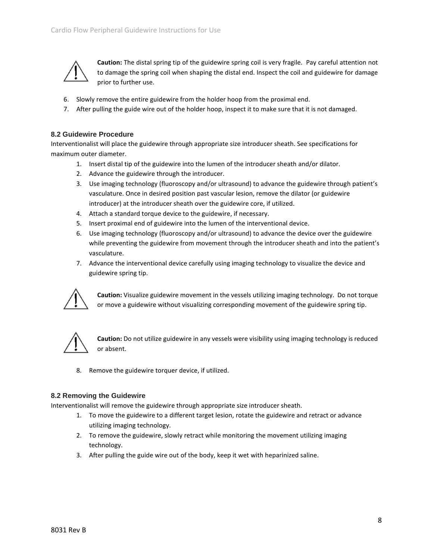

**Caution:** The distal spring tip of the guidewire spring coil is very fragile. Pay careful attention not to damage the spring coil when shaping the distal end. Inspect the coil and guidewire for damage prior to further use.

- 6. Slowly remove the entire guidewire from the holder hoop from the proximal end.
- 7. After pulling the guide wire out of the holder hoop, inspect it to make sure that it is not damaged.

#### <span id="page-7-0"></span>**8.2 Guidewire Procedure**

Interventionalist will place the guidewire through appropriate size introducer sheath. See specifications for maximum outer diameter.

- 1. Insert distal tip of the guidewire into the lumen of the introducer sheath and/or dilator.
- 2. Advance the guidewire through the introducer.
- 3. Use imaging technology (fluoroscopy and/or ultrasound) to advance the guidewire through patient's vasculature. Once in desired position past vascular lesion, remove the dilator (or guidewire introducer) at the introducer sheath over the guidewire core, if utilized.
- 4. Attach a standard torque device to the guidewire, if necessary.
- 5. Insert proximal end of guidewire into the lumen of the interventional device.
- 6. Use imaging technology (fluoroscopy and/or ultrasound) to advance the device over the guidewire while preventing the guidewire from movement through the introducer sheath and into the patient's vasculature.
- 7. Advance the interventional device carefully using imaging technology to visualize the device and guidewire spring tip.



**Caution:** Visualize guidewire movement in the vessels utilizing imaging technology. Do not torque or move a guidewire without visualizing corresponding movement of the guidewire spring tip.



**Caution:** Do not utilize guidewire in any vessels were visibility using imaging technology is reduced or absent.

8. Remove the guidewire torquer device, if utilized.

#### <span id="page-7-1"></span>**8.2 Removing the Guidewire**

Interventionalist will remove the guidewire through appropriate size introducer sheath.

- 1. To move the guidewire to a different target lesion, rotate the guidewire and retract or advance utilizing imaging technology.
- 2. To remove the guidewire, slowly retract while monitoring the movement utilizing imaging technology.
- 3. After pulling the guide wire out of the body, keep it wet with heparinized saline.